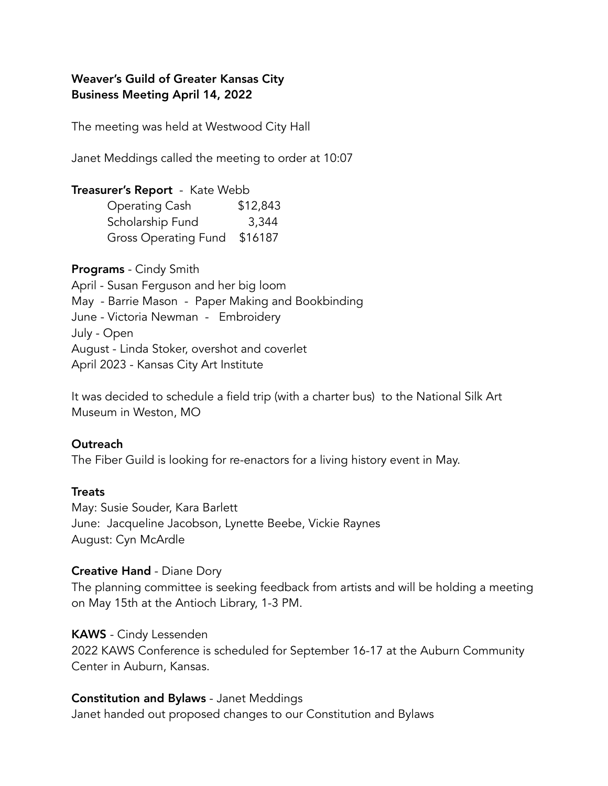# Weaver's Guild of Greater Kansas City Business Meeting April 14, 2022

The meeting was held at Westwood City Hall

Janet Meddings called the meeting to order at 10:07

# Treasurer's Report - Kate Webb

| Operating Cash               | \$12,843 |
|------------------------------|----------|
| Scholarship Fund             | 3,344    |
| Gross Operating Fund \$16187 |          |

Programs - Cindy Smith April - Susan Ferguson and her big loom May - Barrie Mason - Paper Making and Bookbinding June - Victoria Newman - Embroidery July - Open August - Linda Stoker, overshot and coverlet April 2023 - Kansas City Art Institute

It was decided to schedule a field trip (with a charter bus) to the National Silk Art Museum in Weston, MO

## **Outreach**

The Fiber Guild is looking for re-enactors for a living history event in May.

## **Treats**

May: Susie Souder, Kara Barlett June: Jacqueline Jacobson, Lynette Beebe, Vickie Raynes August: Cyn McArdle

## Creative Hand - Diane Dory

The planning committee is seeking feedback from artists and will be holding a meeting on May 15th at the Antioch Library, 1-3 PM.

### KAWS - Cindy Lessenden

2022 KAWS Conference is scheduled for September 16-17 at the Auburn Community Center in Auburn, Kansas.

## Constitution and Bylaws - Janet Meddings

Janet handed out proposed changes to our Constitution and Bylaws